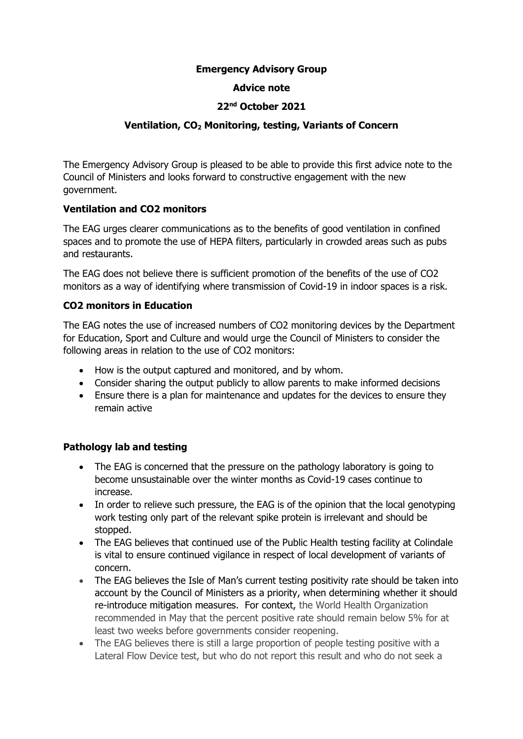## **Emergency Advisory Group**

#### **Advice note**

### **22nd October 2021**

# **Ventilation, CO<sup>2</sup> Monitoring, testing, Variants of Concern**

The Emergency Advisory Group is pleased to be able to provide this first advice note to the Council of Ministers and looks forward to constructive engagement with the new government.

## **Ventilation and CO2 monitors**

The EAG urges clearer communications as to the benefits of good ventilation in confined spaces and to promote the use of HEPA filters, particularly in crowded areas such as pubs and restaurants.

The EAG does not believe there is sufficient promotion of the benefits of the use of CO2 monitors as a way of identifying where transmission of Covid-19 in indoor spaces is a risk.

#### **CO2 monitors in Education**

The EAG notes the use of increased numbers of CO2 monitoring devices by the Department for Education, Sport and Culture and would urge the Council of Ministers to consider the following areas in relation to the use of CO2 monitors:

- How is the output captured and monitored, and by whom.
- Consider sharing the output publicly to allow parents to make informed decisions
- Ensure there is a plan for maintenance and updates for the devices to ensure they remain active

## **Pathology lab and testing**

- The EAG is concerned that the pressure on the pathology laboratory is going to become unsustainable over the winter months as Covid-19 cases continue to increase.
- In order to relieve such pressure, the EAG is of the opinion that the local genotyping work testing only part of the relevant spike protein is irrelevant and should be stopped.
- The EAG believes that continued use of the Public Health testing facility at Colindale is vital to ensure continued vigilance in respect of local development of variants of concern.
- The EAG believes the Isle of Man's current testing positivity rate should be taken into account by the Council of Ministers as a priority, when determining whether it should re-introduce mitigation measures. For context, the World Health Organization recommended in May that the percent positive rate should remain below 5% for at least two weeks before governments consider reopening.
- The EAG believes there is still a large proportion of people testing positive with a Lateral Flow Device test, but who do not report this result and who do not seek a